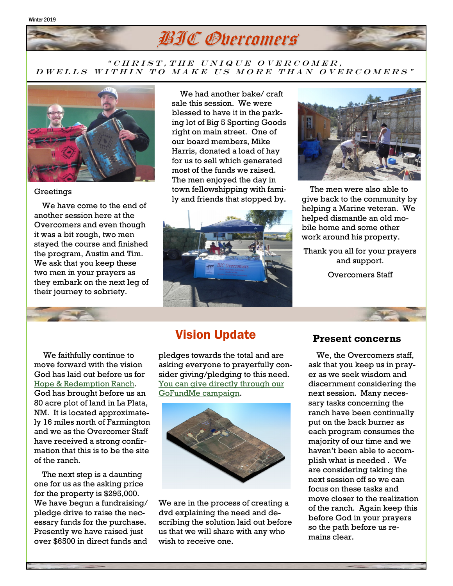#### Winter 2019



### " CHRIST, THE UNIQUE OVERCOMER, D WELLS WITHIN TO MAKE US MORE THAN OVERCOMERS"



### **Greetings**

 We have come to the end of another session here at the Overcomers and even though it was a bit rough, two men stayed the course and finished the program, Austin and Tim. We ask that you keep these two men in your prayers as they embark on the next leg of their journey to sobriety.

 We had another bake/ craft sale this session. We were blessed to have it in the parking lot of Big 5 Sporting Goods right on main street. One of our board members, Mike Harris, donated a load of hay for us to sell which generated most of the funds we raised. The men enjoyed the day in town fellowshipping with family and friends that stopped by.





 The men were also able to give back to the community by helping a Marine veteran. We helped dismantle an old mobile home and some other work around his property.

Thank you all for your prayers and support.

Overcomers Staff

 We faithfully continue to move forward with the vision God has laid out before us for [Hope & Redemption Ranch.](http://bicovercomers.org/future.html)  God has brought before us an 80 acre plot of land in La Plata, NM. It is located approximately 16 miles north of Farmington and we as the Overcomer Staff have received a strong confirmation that this is to be the site of the ranch.

 The next step is a daunting one for us as the asking price for the property is \$295,000. We have begun a fundraising/ pledge drive to raise the necessary funds for the purchase. Presently we have raised just over \$6500 in direct funds and

# Vision Update

pledges towards the total and are asking everyone to prayerfully consider giving/pledging to this need. [You can give directly through our](https://www.gofundme.com/f/hope-amp-redemption-ranch)  [GoFundMe campaign.](https://www.gofundme.com/f/hope-amp-redemption-ranch)



We are in the process of creating a dvd explaining the need and describing the solution laid out before us that we will share with any who wish to receive one.

### **Present concerns**

 We, the Overcomers staff, ask that you keep us in prayer as we seek wisdom and discernment considering the next session. Many necessary tasks concerning the ranch have been continually put on the back burner as each program consumes the majority of our time and we haven't been able to accomplish what is needed . We are considering taking the next session off so we can focus on these tasks and move closer to the realization of the ranch. Again keep this before God in your prayers so the path before us remains clear.